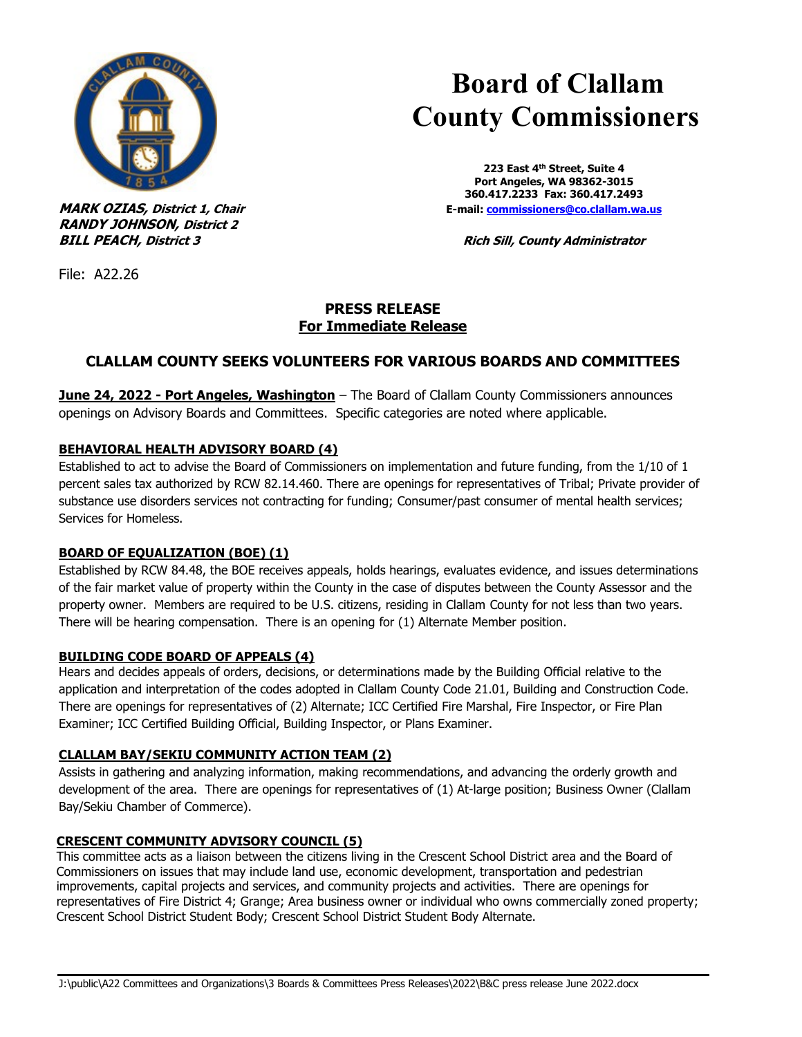

**RANDY JOHNSON, District 2**

 **Board of Clallam County Commissioners**

**223 East 4th Street, Suite 4 Port Angeles, WA 98362-3015 360.417.2233 Fax: 360.417.2493 MARK OZIAS, District 1, Chair E-mail**: **commissioners@co.clallam.wa.us** 

**BILL PEACH, District 3 Rich Sill, County Administrator**

File: A22.26

## **PRESS RELEASE For Immediate Release**

# **CLALLAM COUNTY SEEKS VOLUNTEERS FOR VARIOUS BOARDS AND COMMITTEES**

**June 24, 2022 - Port Angeles, Washington** – The Board of Clallam County Commissioners announces openings on Advisory Boards and Committees. Specific categories are noted where applicable.

## **BEHAVIORAL HEALTH ADVISORY BOARD (4)**

Established to act to advise the Board of Commissioners on implementation and future funding, from the 1/10 of 1 percent sales tax authorized by RCW 82.14.460. There are openings for representatives of Tribal; Private provider of substance use disorders services not contracting for funding; Consumer/past consumer of mental health services; Services for Homeless.

## **BOARD OF EQUALIZATION (BOE) (1)**

Established by RCW 84.48, the BOE receives appeals, holds hearings, evaluates evidence, and issues determinations of the fair market value of property within the County in the case of disputes between the County Assessor and the property owner. Members are required to be U.S. citizens, residing in Clallam County for not less than two years. There will be hearing compensation. There is an opening for (1) Alternate Member position.

## **BUILDING CODE BOARD OF APPEALS (4)**

Hears and decides appeals of orders, decisions, or determinations made by the Building Official relative to the application and interpretation of the codes adopted in Clallam County Code 21.01, Building and Construction Code. There are openings for representatives of (2) Alternate; ICC Certified Fire Marshal, Fire Inspector, or Fire Plan Examiner; ICC Certified Building Official, Building Inspector, or Plans Examiner.

## **CLALLAM BAY/SEKIU COMMUNITY ACTION TEAM (2)**

Assists in gathering and analyzing information, making recommendations, and advancing the orderly growth and development of the area. There are openings for representatives of (1) At-large position; Business Owner (Clallam Bay/Sekiu Chamber of Commerce).

## **CRESCENT COMMUNITY ADVISORY COUNCIL (5)**

This committee acts as a liaison between the citizens living in the Crescent School District area and the Board of Commissioners on issues that may include land use, economic development, transportation and pedestrian improvements, capital projects and services, and community projects and activities. There are openings for representatives of Fire District 4; Grange; Area business owner or individual who owns commercially zoned property; Crescent School District Student Body; Crescent School District Student Body Alternate.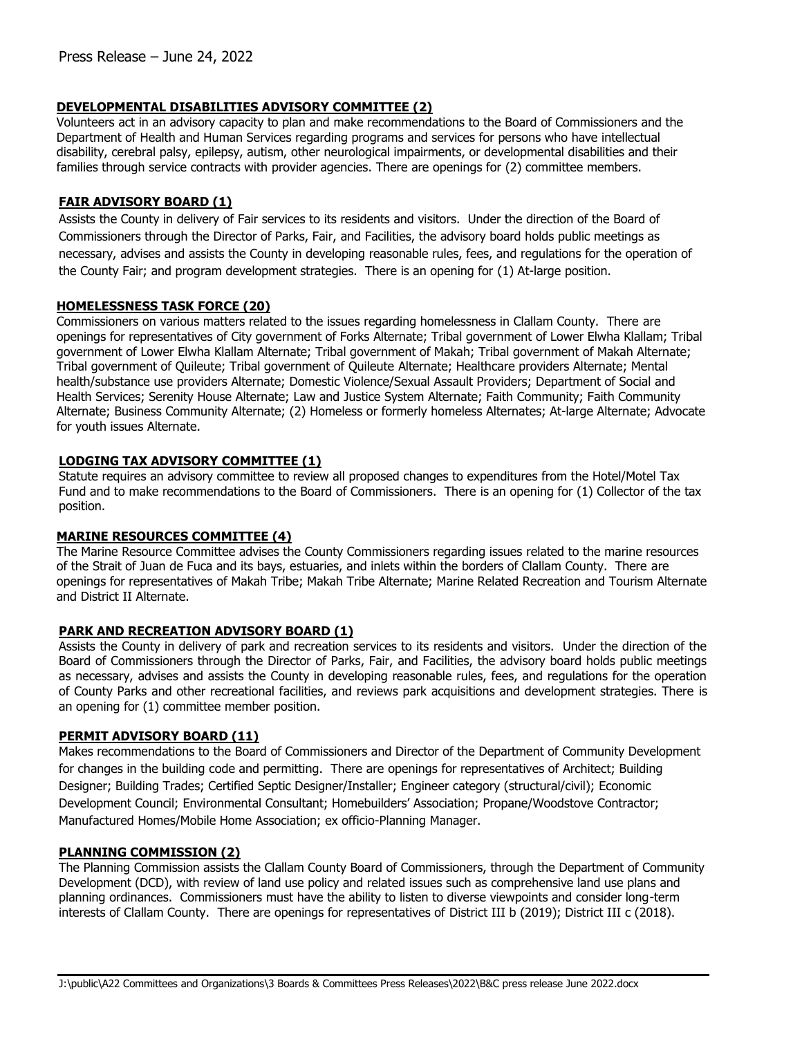#### **DEVELOPMENTAL DISABILITIES ADVISORY COMMITTEE (2)**

Volunteers act in an advisory capacity to plan and make recommendations to the Board of Commissioners and the Department of Health and Human Services regarding programs and services for persons who have intellectual disability, cerebral palsy, epilepsy, autism, other neurological impairments, or developmental disabilities and their families through service contracts with provider agencies. There are openings for (2) committee members.

#### **FAIR ADVISORY BOARD (1)**

Assists the County in delivery of Fair services to its residents and visitors. Under the direction of the Board of Commissioners through the Director of Parks, Fair, and Facilities, the advisory board holds public meetings as necessary, advises and assists the County in developing reasonable rules, fees, and regulations for the operation of the County Fair; and program development strategies. There is an opening for (1) At-large position.

#### **HOMELESSNESS TASK FORCE (20)**

Commissioners on various matters related to the issues regarding homelessness in Clallam County. There are openings for representatives of City government of Forks Alternate; Tribal government of Lower Elwha Klallam; Tribal government of Lower Elwha Klallam Alternate; Tribal government of Makah; Tribal government of Makah Alternate; Tribal government of Quileute; Tribal government of Quileute Alternate; Healthcare providers Alternate; Mental health/substance use providers Alternate; Domestic Violence/Sexual Assault Providers; Department of Social and Health Services; Serenity House Alternate; Law and Justice System Alternate; Faith Community; Faith Community Alternate; Business Community Alternate; (2) Homeless or formerly homeless Alternates; At-large Alternate; Advocate for youth issues Alternate.

#### **LODGING TAX ADVISORY COMMITTEE (1)**

Statute requires an advisory committee to review all proposed changes to expenditures from the Hotel/Motel Tax Fund and to make recommendations to the Board of Commissioners. There is an opening for (1) Collector of the tax position.

#### **MARINE RESOURCES COMMITTEE (4)**

The Marine Resource Committee advises the County Commissioners regarding issues related to the marine resources of the Strait of Juan de Fuca and its bays, estuaries, and inlets within the borders of Clallam County. There are openings for representatives of Makah Tribe; Makah Tribe Alternate; Marine Related Recreation and Tourism Alternate and District II Alternate.

## **PARK AND RECREATION ADVISORY BOARD (1)**

Assists the County in delivery of park and recreation services to its residents and visitors. Under the direction of the Board of Commissioners through the Director of Parks, Fair, and Facilities, the advisory board holds public meetings as necessary, advises and assists the County in developing reasonable rules, fees, and regulations for the operation of County Parks and other recreational facilities, and reviews park acquisitions and development strategies. There is an opening for (1) committee member position.

#### **PERMIT ADVISORY BOARD (11)**

Makes recommendations to the Board of Commissioners and Director of the Department of Community Development for changes in the building code and permitting. There are openings for representatives of Architect; Building Designer; Building Trades; Certified Septic Designer/Installer; Engineer category (structural/civil); Economic Development Council; Environmental Consultant; Homebuilders' Association; Propane/Woodstove Contractor; Manufactured Homes/Mobile Home Association; ex officio-Planning Manager.

#### **PLANNING COMMISSION (2)**

The Planning Commission assists the Clallam County Board of Commissioners, through the Department of Community Development (DCD), with review of land use policy and related issues such as comprehensive land use plans and planning ordinances. Commissioners must have the ability to listen to diverse viewpoints and consider long-term interests of Clallam County. There are openings for representatives of District III b (2019); District III c (2018).